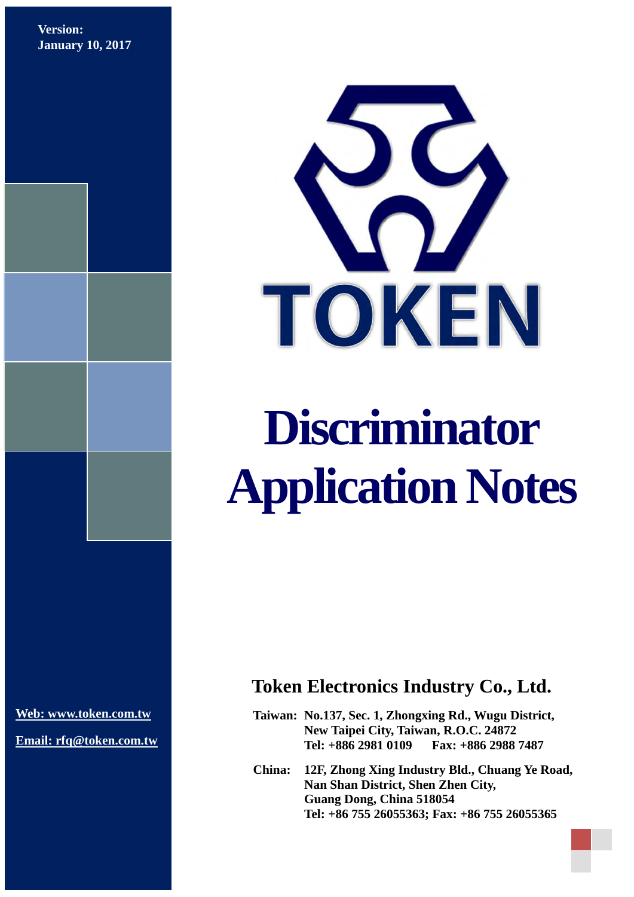**Version: January 10, 2017**



# **Discriminator Application Notes**

**[Web: www.token.com.tw](http://www.token.com.tw/)**

**Email: rfq@token.com.tw**

## **Token Electronics Industry Co., Ltd.**

**Taiwan: No.137, Sec. 1, Zhongxing Rd., Wugu District, New Taipei City, Taiwan, R.O.C. 24872 Tel: +886 2981 0109 Fax: +886 2988 7487**

**China: 12F, Zhong Xing Industry Bld., Chuang Ye Road, Nan Shan District, Shen Zhen City, Guang Dong, China 518054 Tel: +86 755 26055363; Fax: +86 755 26055365**